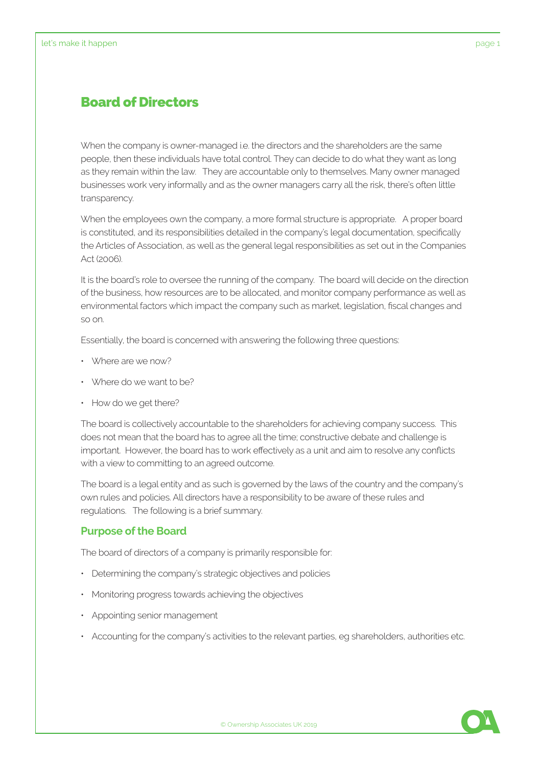## Board of Directors

When the company is owner-managed i.e. the directors and the shareholders are the same people, then these individuals have total control. They can decide to do what they want as long as they remain within the law. They are accountable only to themselves. Many owner managed businesses work very informally and as the owner managers carry all the risk, there's often little transparency.

When the employees own the company, a more formal structure is appropriate. A proper board is constituted, and its responsibilities detailed in the company's legal documentation, specifically the Articles of Association, as well as the general legal responsibilities as set out in the Companies Act (2006).

It is the board's role to oversee the running of the company. The board will decide on the direction of the business, how resources are to be allocated, and monitor company performance as well as environmental factors which impact the company such as market, legislation, fiscal changes and so on.

Essentially, the board is concerned with answering the following three questions:

- Where are we now?
- Where do we want to be?
- How do we get there?

The board is collectively accountable to the shareholders for achieving company success. This does not mean that the board has to agree all the time; constructive debate and challenge is important. However, the board has to work effectively as a unit and aim to resolve any conflicts with a view to committing to an agreed outcome.

The board is a legal entity and as such is governed by the laws of the country and the company's own rules and policies. All directors have a responsibility to be aware of these rules and regulations. The following is a brief summary.

## **Purpose of the Board**

The board of directors of a company is primarily responsible for:

- Determining the company's strategic objectives and policies
- Monitoring progress towards achieving the objectives
- Appointing senior management
- Accounting for the company's activities to the relevant parties, eg shareholders, authorities etc.

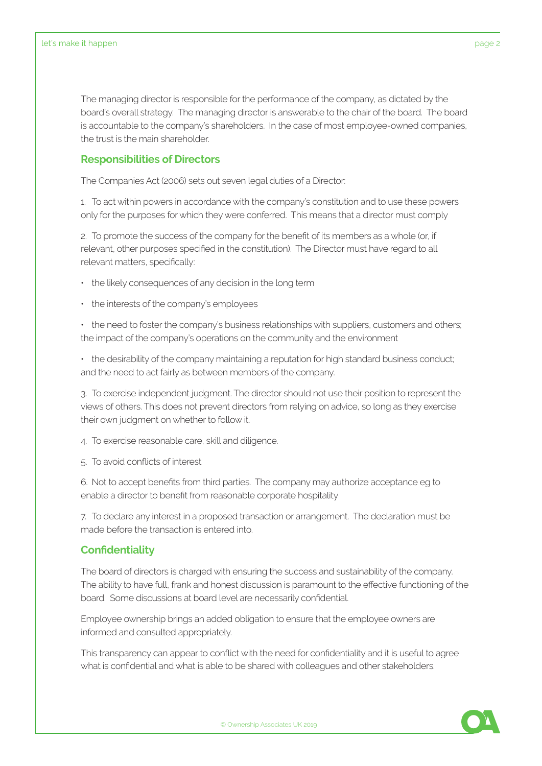The managing director is responsible for the performance of the company, as dictated by the board's overall strategy. The managing director is answerable to the chair of the board. The board is accountable to the company's shareholders. In the case of most employee-owned companies, the trust is the main shareholder.

## **Responsibilities of Directors**

The Companies Act (2006) sets out seven legal duties of a Director:

1. To act within powers in accordance with the company's constitution and to use these powers only for the purposes for which they were conferred. This means that a director must comply

2. To promote the success of the company for the benefit of its members as a whole (or, if relevant, other purposes specified in the constitution). The Director must have regard to all relevant matters, specifically:

- the likely consequences of any decision in the long term
- the interests of the company's employees

• the need to foster the company's business relationships with suppliers, customers and others; the impact of the company's operations on the community and the environment

• the desirability of the company maintaining a reputation for high standard business conduct; and the need to act fairly as between members of the company.

3. To exercise independent judgment. The director should not use their position to represent the views of others. This does not prevent directors from relying on advice, so long as they exercise their own judgment on whether to follow it.

4. To exercise reasonable care, skill and diligence.

5. To avoid conflicts of interest

6. Not to accept benefits from third parties. The company may authorize acceptance eg to enable a director to benefit from reasonable corporate hospitality

7. To declare any interest in a proposed transaction or arrangement. The declaration must be made before the transaction is entered into.

## **Confidentiality**

The board of directors is charged with ensuring the success and sustainability of the company. The ability to have full, frank and honest discussion is paramount to the effective functioning of the board. Some discussions at board level are necessarily confidential.

Employee ownership brings an added obligation to ensure that the employee owners are informed and consulted appropriately.

This transparency can appear to conflict with the need for confidentiality and it is useful to agree what is confidential and what is able to be shared with colleagues and other stakeholders.